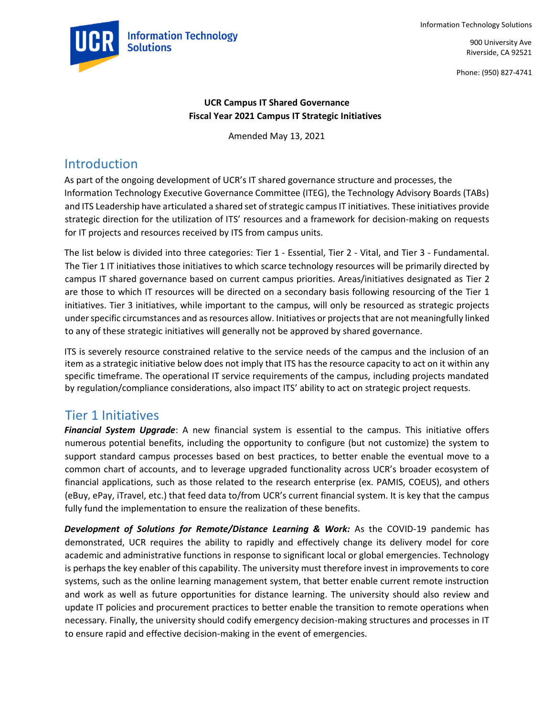



900 University Ave Riverside, CA 92521

Phone: (950) 827-4741

#### **UCR Campus IT Shared Governance Fiscal Year 2021 Campus IT Strategic Initiatives**

Amended May 13, 2021

# Introduction

As part of the ongoing development of UCR's IT shared governance structure and processes, the Information Technology Executive Governance Committee (ITEG), the Technology Advisory Boards (TABs) and ITS Leadership have articulated a shared set of strategic campus IT initiatives. These initiatives provide strategic direction for the utilization of ITS' resources and a framework for decision-making on requests for IT projects and resources received by ITS from campus units.

The list below is divided into three categories: Tier 1 - Essential, Tier 2 - Vital, and Tier 3 - Fundamental. The Tier 1 IT initiatives those initiatives to which scarce technology resources will be primarily directed by campus IT shared governance based on current campus priorities. Areas/initiatives designated as Tier 2 are those to which IT resources will be directed on a secondary basis following resourcing of the Tier 1 initiatives. Tier 3 initiatives, while important to the campus, will only be resourced as strategic projects under specific circumstances and as resources allow. Initiatives or projects that are not meaningfully linked to any of these strategic initiatives will generally not be approved by shared governance.

ITS is severely resource constrained relative to the service needs of the campus and the inclusion of an item as a strategic initiative below does not imply that ITS has the resource capacity to act on it within any specific timeframe. The operational IT service requirements of the campus, including projects mandated by regulation/compliance considerations, also impact ITS' ability to act on strategic project requests.

## Tier 1 Initiatives

*Financial System Upgrade*: A new financial system is essential to the campus. This initiative offers numerous potential benefits, including the opportunity to configure (but not customize) the system to support standard campus processes based on best practices, to better enable the eventual move to a common chart of accounts, and to leverage upgraded functionality across UCR's broader ecosystem of financial applications, such as those related to the research enterprise (ex. PAMIS, COEUS), and others (eBuy, ePay, iTravel, etc.) that feed data to/from UCR's current financial system. It is key that the campus fully fund the implementation to ensure the realization of these benefits.

*Development of Solutions for Remote/Distance Learning & Work:* As the COVID-19 pandemic has demonstrated, UCR requires the ability to rapidly and effectively change its delivery model for core academic and administrative functions in response to significant local or global emergencies. Technology is perhaps the key enabler of this capability. The university must therefore invest in improvements to core systems, such as the online learning management system, that better enable current remote instruction and work as well as future opportunities for distance learning. The university should also review and update IT policies and procurement practices to better enable the transition to remote operations when necessary. Finally, the university should codify emergency decision-making structures and processes in IT to ensure rapid and effective decision-making in the event of emergencies.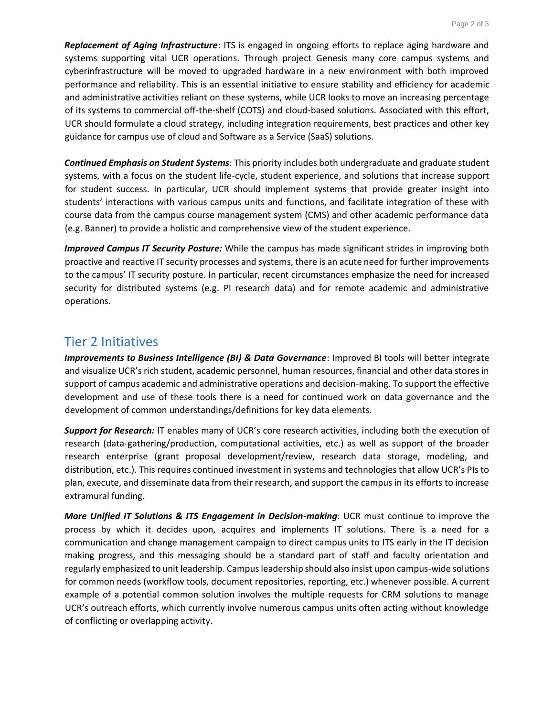*Replacement of Aging Infrastructure*: ITS is engaged in ongoing efforts to replace aging hardware and systems supporting vital UCR operations. Through project Genesis many core campus systems and cyberinfrastructure will be moved to upgraded hardware in a new environment with both improved performance and reliability. This is an essential initiative to ensure stability and efficiency for academic and administrative activities reliant on these systems, while UCR looks to move an increasing percentage of its systems to commercial off-the-shelf (COTS) and cloud-based solutions. Associated with this effort, UCR should formulate a cloud strategy, including integration requirements, best practices and other key guidance for campus use of cloud and Software as a Service (SaaS) solutions.

*Continued Emphasis on Student Systems*: This priority includes both undergraduate and graduate student systems, with a focus on the student life-cycle, student experience, and solutions that increase support for student success. In particular, UCR should implement systems that provide greater insight into students' interactions with various campus units and functions, and facilitate integration of these with course data from the campus course management system (CMS) and other academic performance data (e.g. Banner) to provide a holistic and comprehensive view of the student experience.

*Improved Campus IT Security Posture:* While the campus has made significant strides in improving both proactive and reactive IT security processes and systems, there is an acute need for further improvements to the campus' IT security posture. In particular, recent circumstances emphasize the need for increased security for distributed systems (e.g. PI research data) and for remote academic and administrative operations.

### Tier 2 Initiatives

*Improvements to Business Intelligence (BI) & Data Governance*: Improved BI tools will better integrate and visualize UCR's rich student, academic personnel, human resources, financial and other data stores in support of campus academic and administrative operations and decision-making. To support the effective development and use of these tools there is a need for continued work on data governance and the development of common understandings/definitions for key data elements.

*Support for Research:* IT enables many of UCR's core research activities, including both the execution of research (data-gathering/production, computational activities, etc.) as well as support of the broader research enterprise (grant proposal development/review, research data storage, modeling, and distribution, etc.). This requires continued investment in systems and technologies that allow UCR's PIs to plan, execute, and disseminate data from their research, and support the campus in its efforts to increase extramural funding.

*More Unified IT Solutions & ITS Engagement in Decision-making*: UCR must continue to improve the process by which it decides upon, acquires and implements IT solutions. There is a need for a communication and change management campaign to direct campus units to ITS early in the IT decision making progress, and this messaging should be a standard part of staff and faculty orientation and regularly emphasized to unit leadership. Campus leadership should also insist upon campus-wide solutions for common needs (workflow tools, document repositories, reporting, etc.) whenever possible. A current example of a potential common solution involves the multiple requests for CRM solutions to manage UCR's outreach efforts, which currently involve numerous campus units often acting without knowledge of conflicting or overlapping activity.